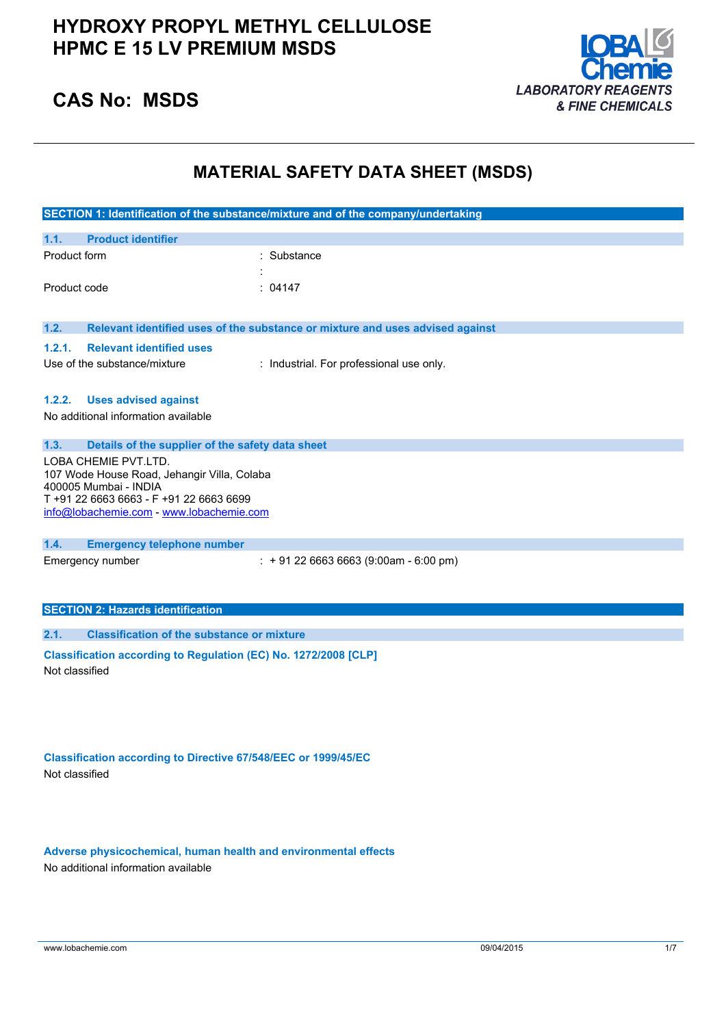

## **CAS No: MSDS**

## **MATERIAL SAFETY DATA SHEET (MSDS)**

| SECTION 1: Identification of the substance/mixture and of the company/undertaking                                                                                                                   |                                                                               |  |  |
|-----------------------------------------------------------------------------------------------------------------------------------------------------------------------------------------------------|-------------------------------------------------------------------------------|--|--|
| <b>Product identifier</b><br>1.1.                                                                                                                                                                   |                                                                               |  |  |
| Product form                                                                                                                                                                                        | : Substance                                                                   |  |  |
| Product code                                                                                                                                                                                        | : 04147                                                                       |  |  |
| 1.2.                                                                                                                                                                                                | Relevant identified uses of the substance or mixture and uses advised against |  |  |
| <b>Relevant identified uses</b><br>1.2.1.<br>Use of the substance/mixture                                                                                                                           | : Industrial. For professional use only.                                      |  |  |
| 1.2.2.<br><b>Uses advised against</b><br>No additional information available                                                                                                                        |                                                                               |  |  |
| 1.3.<br>Details of the supplier of the safety data sheet<br>LOBA CHEMIE PVT.LTD.<br>107 Wode House Road, Jehangir Villa, Colaba<br>400005 Mumbai - INDIA<br>T +91 22 6663 6663 - F +91 22 6663 6699 |                                                                               |  |  |
| info@lobachemie.com - www.lobachemie.com                                                                                                                                                            |                                                                               |  |  |
| 1.4.<br><b>Emergency telephone number</b>                                                                                                                                                           |                                                                               |  |  |
| Emergency number                                                                                                                                                                                    | $: +912266636663(9:00am - 6:00 pm)$                                           |  |  |
| <b>SECTION 2: Hazards identification</b>                                                                                                                                                            |                                                                               |  |  |
| <b>Classification of the substance or mixture</b><br>2.1.                                                                                                                                           |                                                                               |  |  |
| Classification according to Regulation (EC) No. 1272/2008 [CLP]<br>Not classified                                                                                                                   |                                                                               |  |  |
|                                                                                                                                                                                                     |                                                                               |  |  |

**Classification according to Directive 67/548/EEC or 1999/45/EC** Not classified

**Adverse physicochemical, human health and environmental effects** No additional information available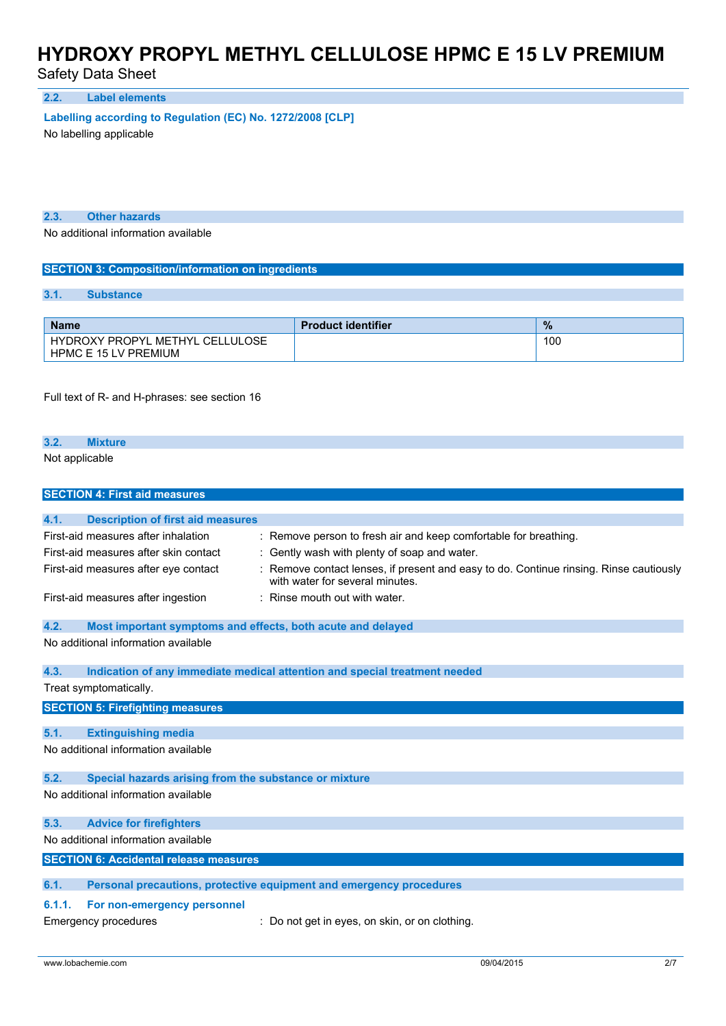Safety Data Sheet

**2.2. Label elements**

**Labelling according to** Regulation (EC) No. 1272/2008 [CLP]

No labelling applicable

**2.3. Other hazards**

No additional information available

#### **SECTION 3: Composition/information on ingredients**

### **3.1. Substance**

| <b>Name</b>                                                                     | <b>Product identifier</b> | $\frac{9}{6}$ |
|---------------------------------------------------------------------------------|---------------------------|---------------|
| LULOSE<br>METHYL<br>CEL<br><b>HYDROXY PROPYL</b><br><b>HPMC E 15 LV PREMIUM</b> |                           | 100           |

Full text of R- and H-phrases: see section 16

#### **3.2. Mixture**

Not applicable

| <b>SECTION 4: First aid measures</b>                                                                                                                       |                                                                                                                                                                                                                                                                               |  |  |
|------------------------------------------------------------------------------------------------------------------------------------------------------------|-------------------------------------------------------------------------------------------------------------------------------------------------------------------------------------------------------------------------------------------------------------------------------|--|--|
| 4.1.<br><b>Description of first aid measures</b>                                                                                                           |                                                                                                                                                                                                                                                                               |  |  |
| First-aid measures after inhalation<br>First-aid measures after skin contact<br>First-aid measures after eye contact<br>First-aid measures after ingestion | Remove person to fresh air and keep comfortable for breathing.<br>÷<br>Gently wash with plenty of soap and water.<br>Remove contact lenses, if present and easy to do. Continue rinsing. Rinse cautiously<br>with water for several minutes.<br>: Rinse mouth out with water. |  |  |
| 4.2.<br>Most important symptoms and effects, both acute and delayed                                                                                        |                                                                                                                                                                                                                                                                               |  |  |
| No additional information available                                                                                                                        |                                                                                                                                                                                                                                                                               |  |  |
| 4.3.<br>Indication of any immediate medical attention and special treatment needed<br>Treat symptomatically.                                               |                                                                                                                                                                                                                                                                               |  |  |
| <b>SECTION 5: Firefighting measures</b>                                                                                                                    |                                                                                                                                                                                                                                                                               |  |  |
| <b>Extinguishing media</b><br>5.1.                                                                                                                         |                                                                                                                                                                                                                                                                               |  |  |
| No additional information available                                                                                                                        |                                                                                                                                                                                                                                                                               |  |  |
| 5.2.<br>Special hazards arising from the substance or mixture                                                                                              |                                                                                                                                                                                                                                                                               |  |  |
| No additional information available                                                                                                                        |                                                                                                                                                                                                                                                                               |  |  |
| <b>Advice for firefighters</b><br>5.3.                                                                                                                     |                                                                                                                                                                                                                                                                               |  |  |
| No additional information available                                                                                                                        |                                                                                                                                                                                                                                                                               |  |  |
| <b>SECTION 6: Accidental release measures</b>                                                                                                              |                                                                                                                                                                                                                                                                               |  |  |
| 6.1.                                                                                                                                                       | Personal precautions, protective equipment and emergency procedures                                                                                                                                                                                                           |  |  |
| For non-emergency personnel<br>6.1.1.                                                                                                                      |                                                                                                                                                                                                                                                                               |  |  |
| Emergency procedures                                                                                                                                       | : Do not get in eyes, on skin, or on clothing.                                                                                                                                                                                                                                |  |  |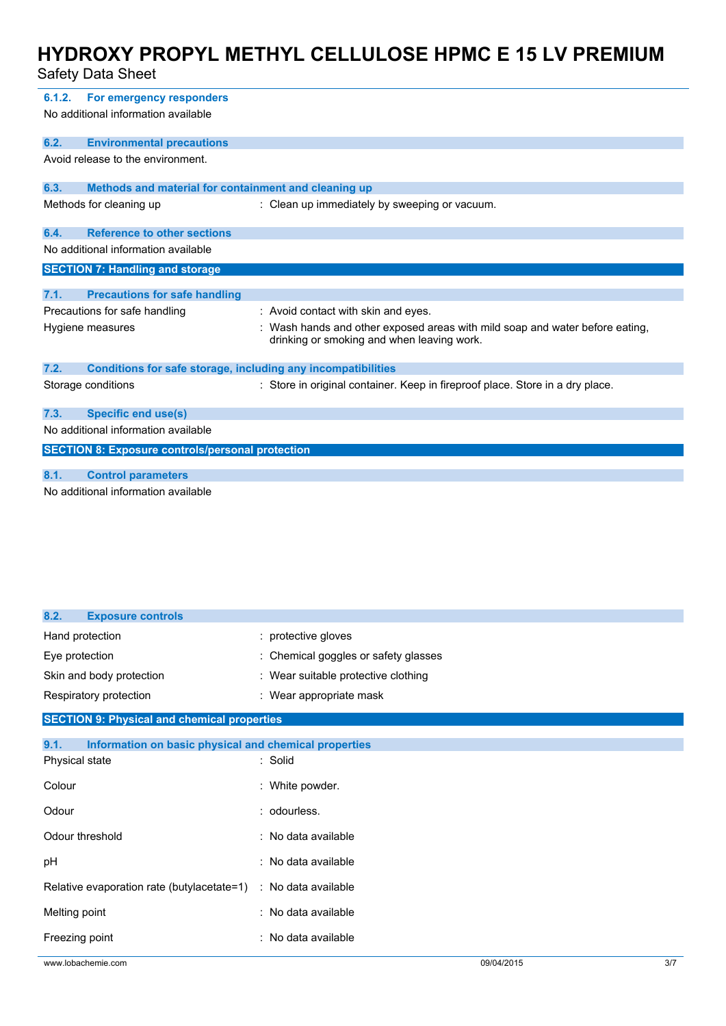### Safety Data Sheet

| 6.1.2.                                                               | For emergency responders<br>No additional information available     |                                                                                                                            |  |
|----------------------------------------------------------------------|---------------------------------------------------------------------|----------------------------------------------------------------------------------------------------------------------------|--|
| 6.2.                                                                 | <b>Environmental precautions</b>                                    |                                                                                                                            |  |
|                                                                      | Avoid release to the environment.                                   |                                                                                                                            |  |
| 6.3.                                                                 | Methods and material for containment and cleaning up                |                                                                                                                            |  |
|                                                                      | Methods for cleaning up                                             | : Clean up immediately by sweeping or vacuum.                                                                              |  |
| 6.4.                                                                 | <b>Reference to other sections</b>                                  |                                                                                                                            |  |
|                                                                      | No additional information available                                 |                                                                                                                            |  |
|                                                                      | <b>SECTION 7: Handling and storage</b>                              |                                                                                                                            |  |
| 7.1.                                                                 | <b>Precautions for safe handling</b>                                |                                                                                                                            |  |
| Precautions for safe handling<br>: Avoid contact with skin and eyes. |                                                                     |                                                                                                                            |  |
|                                                                      | Hygiene measures                                                    | : Wash hands and other exposed areas with mild soap and water before eating,<br>drinking or smoking and when leaving work. |  |
| 7.2.                                                                 | <b>Conditions for safe storage, including any incompatibilities</b> |                                                                                                                            |  |
|                                                                      | Storage conditions                                                  | : Store in original container. Keep in fireproof place. Store in a dry place.                                              |  |
| 7.3.                                                                 | <b>Specific end use(s)</b>                                          |                                                                                                                            |  |
| No additional information available                                  |                                                                     |                                                                                                                            |  |
|                                                                      | <b>SECTION 8: Exposure controls/personal protection</b>             |                                                                                                                            |  |
| 8.1.                                                                 | <b>Control parameters</b>                                           |                                                                                                                            |  |
|                                                                      | No additional information available                                 |                                                                                                                            |  |

**8.2. Exposure controls** Hand protection **in the set of the set of the set of the set of the set of the set of the set of the set of the set of the set of the set of the set of the set of the set of the set of the set of the set of the set of the** Eye protection  $\qquad \qquad : \qquad$  Chemical goggles or safety glasses Skin and body protection : Wear suitable protective clothing Respiratory protection **in the set of the COV** wear appropriate mask

### **SECTION 9: Physical and chemical properties**

| Information on basic physical and chemical properties<br>9.1. |                     |
|---------------------------------------------------------------|---------------------|
| Physical state                                                | : Solid             |
| Colour                                                        | : White powder.     |
| Odour                                                         | : odourless.        |
| Odour threshold                                               | : No data available |
| pH                                                            | : No data available |
| Relative evaporation rate (butylacetate=1)                    | : No data available |
| Melting point                                                 | : No data available |
| Freezing point                                                | : No data available |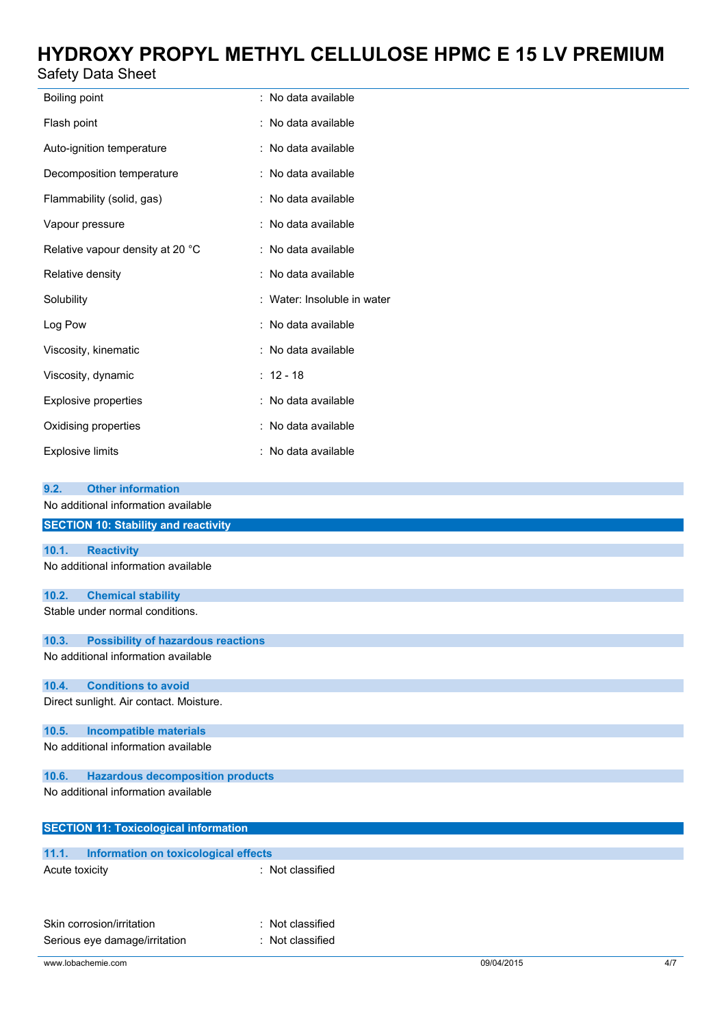## Safety Data Sheet

| Boiling point                    | : No data available         |
|----------------------------------|-----------------------------|
| Flash point                      | : No data available         |
| Auto-ignition temperature        | : No data available         |
| Decomposition temperature        | : No data available         |
| Flammability (solid, gas)        | : No data available         |
| Vapour pressure                  | : No data available         |
| Relative vapour density at 20 °C | : No data available         |
| Relative density                 | : No data available         |
| Solubility                       | : Water: Insoluble in water |
| Log Pow                          | : No data available         |
| Viscosity, kinematic             | : No data available         |
| Viscosity, dynamic               | $: 12 - 18$                 |
| <b>Explosive properties</b>      | : No data available         |
| Oxidising properties             | : No data available         |
| <b>Explosive limits</b>          | : No data available         |

### **9.2. Other information**

| No additional information available |  |
|-------------------------------------|--|
|-------------------------------------|--|

|                | <b>SECTION 10: Stability and reactivity</b>  |                  |            |     |
|----------------|----------------------------------------------|------------------|------------|-----|
|                |                                              |                  |            |     |
| 10.1.          | <b>Reactivity</b>                            |                  |            |     |
|                | No additional information available          |                  |            |     |
|                |                                              |                  |            |     |
| 10.2.          | <b>Chemical stability</b>                    |                  |            |     |
|                | Stable under normal conditions.              |                  |            |     |
| 10.3.          | <b>Possibility of hazardous reactions</b>    |                  |            |     |
|                | No additional information available          |                  |            |     |
| 10.4.          | <b>Conditions to avoid</b>                   |                  |            |     |
|                | Direct sunlight. Air contact. Moisture.      |                  |            |     |
|                |                                              |                  |            |     |
| 10.5.          | <b>Incompatible materials</b>                |                  |            |     |
|                | No additional information available          |                  |            |     |
|                |                                              |                  |            |     |
| 10.6.          | <b>Hazardous decomposition products</b>      |                  |            |     |
|                | No additional information available          |                  |            |     |
|                |                                              |                  |            |     |
|                |                                              |                  |            |     |
|                | <b>SECTION 11: Toxicological information</b> |                  |            |     |
| 11.1.          | <b>Information on toxicological effects</b>  |                  |            |     |
| Acute toxicity |                                              | : Not classified |            |     |
|                |                                              |                  |            |     |
|                |                                              |                  |            |     |
|                |                                              |                  |            |     |
|                | Skin corrosion/irritation                    | : Not classified |            |     |
|                | Serious eye damage/irritation                | : Not classified |            |     |
|                |                                              |                  |            |     |
|                | www.lobachemie.com                           |                  | 09/04/2015 | 4/7 |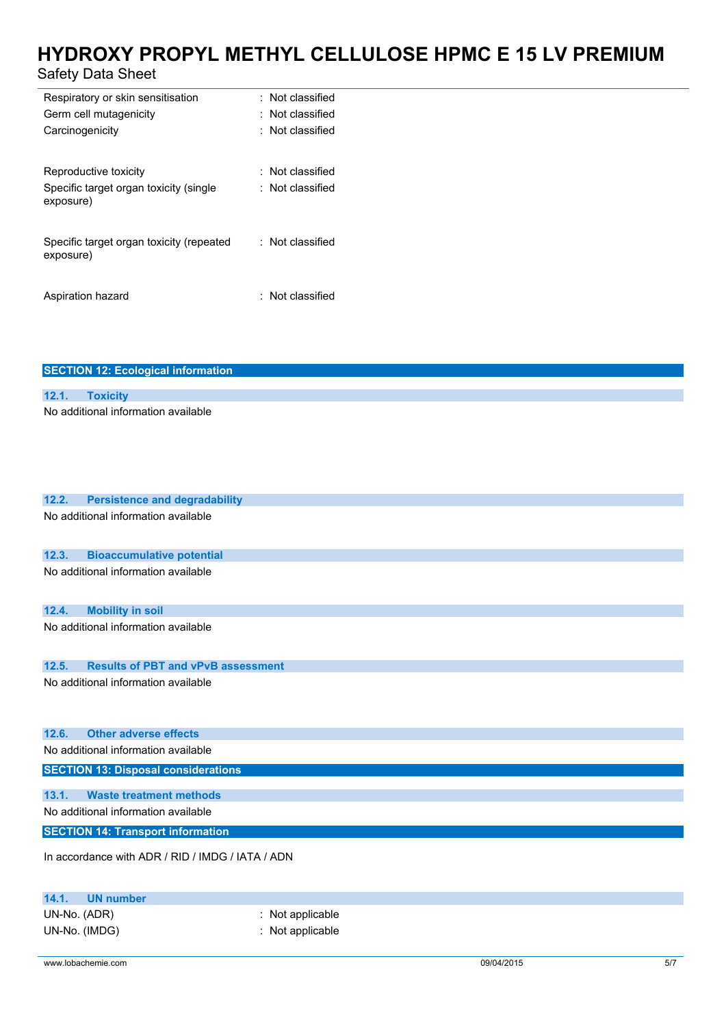## Safety Data Sheet

| Respiratory or skin sensitisation                     | : Not classified        |
|-------------------------------------------------------|-------------------------|
| Germ cell mutagenicity                                | $\colon$ Not classified |
| Carcinogenicity                                       | : Not classified        |
| Reproductive toxicity                                 | : Not classified        |
| Specific target organ toxicity (single<br>exposure)   | : Not classified        |
| Specific target organ toxicity (repeated<br>exposure) | : Not classified        |
| Aspiration hazard                                     | $\pm$ Not classified    |

**SECTION 12: Ecological information**

| 12.1.                               | <b>Toxicity</b>                                  |                  |
|-------------------------------------|--------------------------------------------------|------------------|
|                                     | No additional information available              |                  |
| 12.2.                               | <b>Persistence and degradability</b>             |                  |
|                                     | No additional information available              |                  |
|                                     |                                                  |                  |
| 12.3.                               | <b>Bioaccumulative potential</b>                 |                  |
|                                     | No additional information available              |                  |
| 12.4.                               | <b>Mobility in soil</b>                          |                  |
|                                     | No additional information available              |                  |
| 12.5.                               | <b>Results of PBT and vPvB assessment</b>        |                  |
|                                     | No additional information available              |                  |
| 12.6.                               | <b>Other adverse effects</b>                     |                  |
|                                     | No additional information available              |                  |
|                                     | <b>SECTION 13: Disposal considerations</b>       |                  |
| 13.1.                               | <b>Waste treatment methods</b>                   |                  |
| No additional information available |                                                  |                  |
|                                     | <b>SECTION 14: Transport information</b>         |                  |
|                                     | In accordance with ADR / RID / IMDG / IATA / ADN |                  |
| 14.1.                               | <b>UN number</b>                                 |                  |
| UN-No. (ADR)                        |                                                  | : Not applicable |

UN-No. (IMDG) : Not applicable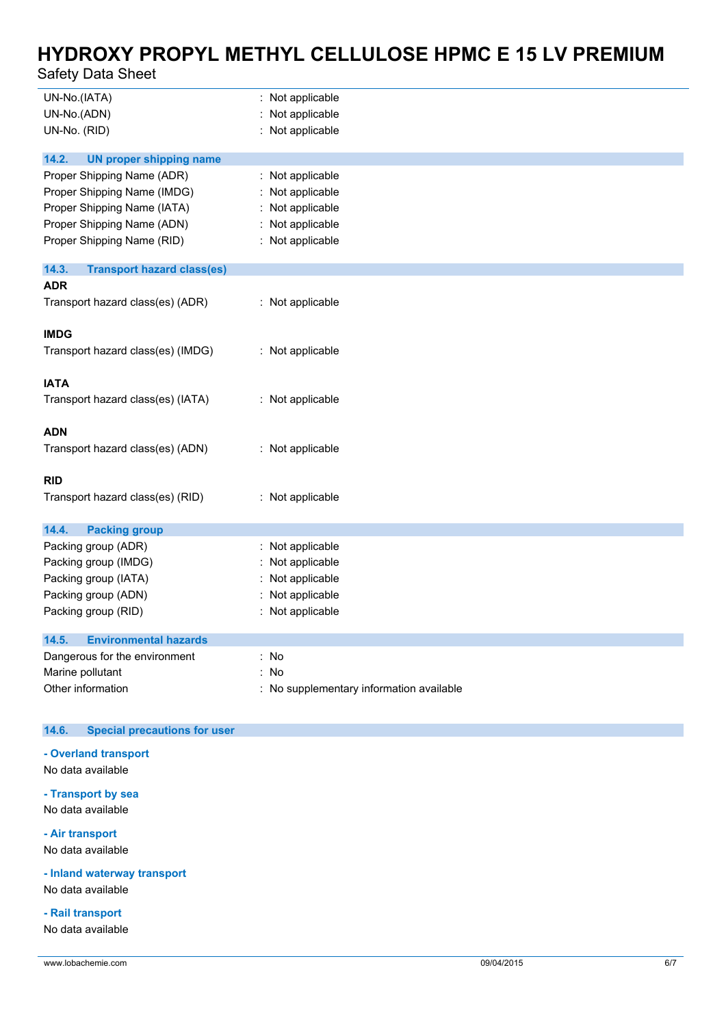## Safety Data Sheet

| UN-No.(IATA)<br>UN-No.(ADN)<br>UN-No. (RID)                                                                                                          | : Not applicable<br>Not applicable<br>: Not applicable                                     |
|------------------------------------------------------------------------------------------------------------------------------------------------------|--------------------------------------------------------------------------------------------|
| 14.2.<br><b>UN proper shipping name</b>                                                                                                              |                                                                                            |
| Proper Shipping Name (ADR)<br>Proper Shipping Name (IMDG)<br>Proper Shipping Name (IATA)<br>Proper Shipping Name (ADN)<br>Proper Shipping Name (RID) | Not applicable<br>Not applicable<br>Not applicable<br>Not applicable<br>: Not applicable   |
| 14.3.<br><b>Transport hazard class(es)</b>                                                                                                           |                                                                                            |
| <b>ADR</b><br>Transport hazard class(es) (ADR)                                                                                                       | : Not applicable                                                                           |
| <b>IMDG</b>                                                                                                                                          |                                                                                            |
| Transport hazard class(es) (IMDG)                                                                                                                    | : Not applicable                                                                           |
| <b>IATA</b><br>Transport hazard class(es) (IATA)                                                                                                     | : Not applicable                                                                           |
| <b>ADN</b><br>Transport hazard class(es) (ADN)                                                                                                       | : Not applicable                                                                           |
| <b>RID</b>                                                                                                                                           |                                                                                            |
| Transport hazard class(es) (RID)                                                                                                                     | : Not applicable                                                                           |
| 14.4.<br><b>Packing group</b>                                                                                                                        |                                                                                            |
| Packing group (ADR)<br>Packing group (IMDG)<br>Packing group (IATA)<br>Packing group (ADN)<br>Packing group (RID)                                    | : Not applicable<br>Not applicable<br>Not applicable<br>Not applicable<br>: Not applicable |
| <b>Environmental hazards</b><br>14.5.                                                                                                                |                                                                                            |
| Dangerous for the environment<br>Marine pollutant<br>Other information                                                                               | : No<br>: No<br>: No supplementary information available                                   |

### **14.6. Special precautions for user**

#### **- Overland transport**

No data available

### **- Transport by sea** No data available

#### **- Air transport** No data available

### **- Inland waterway transport**

No data available

## **- Rail transport**

No data available